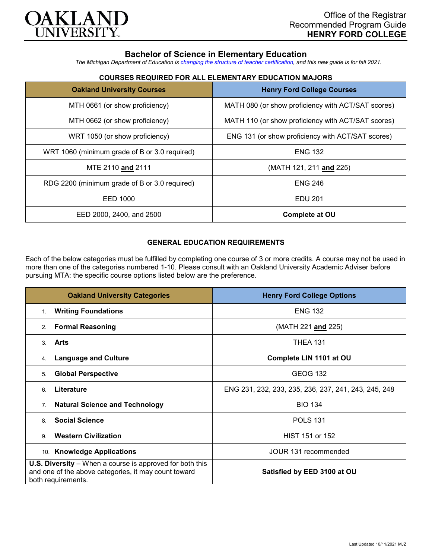

# **Bachelor of Science in Elementary Education**

*The Michigan Department of Education is [changing the structure of teacher certification,](https://docs.google.com/document/d/1W1uUK14Njx6WAB56T4jHbat65OZyg6TS04LdNWMXEcI/edit) and this new guide is for fall 2021.*

| <b>Oakland University Courses</b>             | <b>Henry Ford College Courses</b>                  |
|-----------------------------------------------|----------------------------------------------------|
| MTH 0661 (or show proficiency)                | MATH 080 (or show proficiency with ACT/SAT scores) |
| MTH 0662 (or show proficiency)                | MATH 110 (or show proficiency with ACT/SAT scores) |
| WRT 1050 (or show proficiency)                | ENG 131 (or show proficiency with ACT/SAT scores)  |
| WRT 1060 (minimum grade of B or 3.0 required) | <b>ENG 132</b>                                     |
| MTE 2110 and 2111                             | (MATH 121, 211 and 225)                            |
| RDG 2200 (minimum grade of B or 3.0 required) | <b>ENG 246</b>                                     |
| EED 1000                                      | <b>EDU 201</b>                                     |
| EED 2000, 2400, and 2500                      | Complete at OU                                     |

## **COURSES REQUIRED FOR ALL ELEMENTARY EDUCATION MAJORS**

### **GENERAL EDUCATION REQUIREMENTS**

Each of the below categories must be fulfilled by completing one course of 3 or more credits. A course may not be used in more than one of the categories numbered 1-10. Please consult with an Oakland University Academic Adviser before pursuing MTA: the specific course options listed below are the preference.

| <b>Oakland University Categories</b>                                                                                                          | <b>Henry Ford College Options</b>                    |
|-----------------------------------------------------------------------------------------------------------------------------------------------|------------------------------------------------------|
| <b>Writing Foundations</b><br>1.                                                                                                              | <b>ENG 132</b>                                       |
| <b>Formal Reasoning</b><br>2.                                                                                                                 | (MATH 221 and 225)                                   |
| Arts<br>$\mathcal{S}$                                                                                                                         | <b>THEA 131</b>                                      |
| <b>Language and Culture</b><br>4.                                                                                                             | Complete LIN 1101 at OU                              |
| <b>Global Perspective</b><br>5.                                                                                                               | <b>GEOG 132</b>                                      |
| Literature<br>6                                                                                                                               | ENG 231, 232, 233, 235, 236, 237, 241, 243, 245, 248 |
| <b>Natural Science and Technology</b><br>7.                                                                                                   | <b>BIO 134</b>                                       |
| <b>Social Science</b><br>8                                                                                                                    | <b>POLS 131</b>                                      |
| <b>Western Civilization</b><br>9                                                                                                              | HIST 151 or 152                                      |
| 10. Knowledge Applications                                                                                                                    | JOUR 131 recommended                                 |
| <b>U.S. Diversity</b> – When a course is approved for both this<br>and one of the above categories, it may count toward<br>both requirements. | Satisfied by EED 3100 at OU                          |